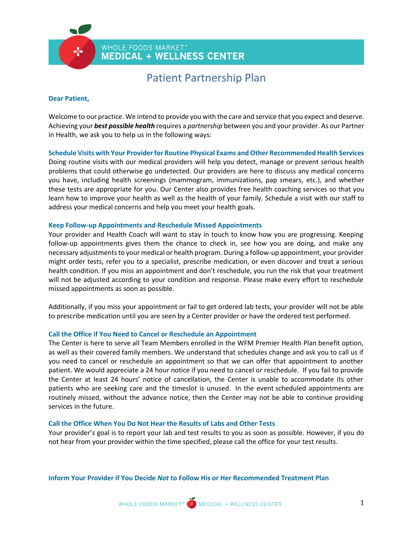WHOLE FOODS MARKET<sup>®</sup> **MEDICAL + WELLNESS CENTER** 

# Patient Partnership Plan

# **Dear Patient,**

Welcome to our practice. We intend to provide you with the care and service that you expect and deserve. Achieving your *best possible health* requires a *partnership* between you and your provider. As our Partner in Health, we ask you to help us in the following ways:

# **Schedule Visits with Your Provider for Routine Physical Exams and Other Recommended Health Services**

Doing routine visits with our medical providers will help you detect, manage or prevent serious health problems that could otherwise go undetected. Our providers are here to discuss any medical concerns you have, including health screenings (mammogram, immunizations, pap smears, etc.), and whether these tests are appropriate for you. Our Center also provides free health coaching services so that you learn how to improve your health as well as the health of your family. Schedule a visit with our staff to address your medical concerns and help you meet your health goals.

# **Keep Follow-up Appointments and Reschedule Missed Appointments**

Your provider and Health Coach will want to stay in touch to know how you are progressing. Keeping follow-up appointments gives them the chance to check in, see how you are doing, and make any necessary adjustments to your medical or health program. During a follow-up appointment, your provider might order tests, refer you to a specialist, prescribe medication, or even discover and treat a serious health condition. If you miss an appointment and don't reschedule, you run the risk that your treatment will not be adjusted according to your condition and response. Please make every effort to reschedule missed appointments as soon as possible.

Additionally, if you miss your appointment or fail to get ordered lab tests, your provider will not be able to prescribe medication until you are seen by a Center provider or have the ordered test performed.

# **Call the Office if You Need to Cancel or Reschedule an Appointment**

The Center is here to serve all Team Members enrolled in the WFM Premier Health Plan benefit option, as well as their covered family members. We understand that schedules change and ask you to call us if you need to cancel or reschedule an appointment so that we can offer that appointment to another patient. We would appreciate a 24 hour notice if you need to cancel or reschedule. If you fail to provide the Center at least 24 hours' notice of cancellation, the Center is unable to accommodate its other patients who are seeking care and the timeslot is unused. In the event scheduled appointments are routinely missed, without the advance notice, then the Center may not be able to continue providing services in the future.

#### **Call the Office When You Do Not Hear the Results of Labs and Other Tests**

Your provider's goal is to report your lab and test results to you as soon as possible. However, if you do not hear from your provider within the time specified, please call the office for your test results.

**Inform Your Provider if You Decide** *Not* **to Follow His or Her Recommended Treatment Plan**